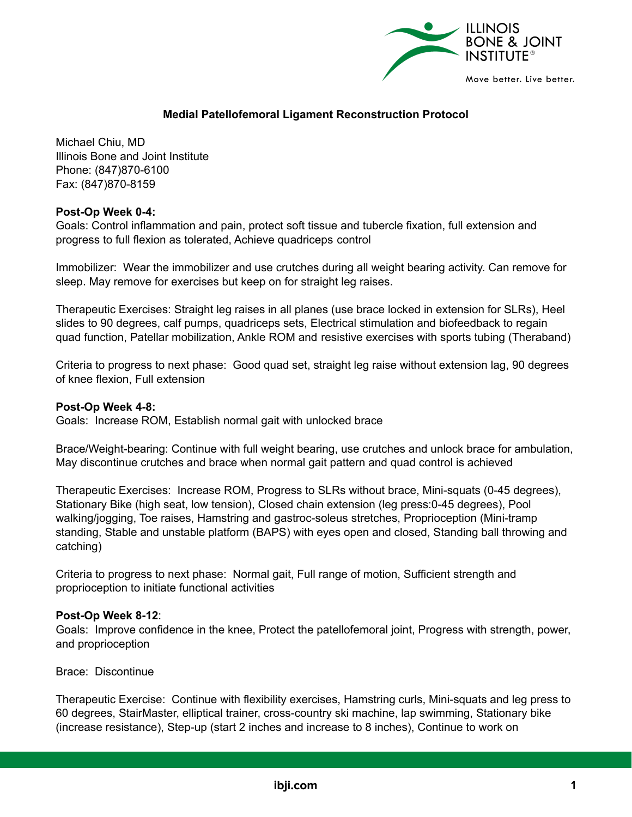

# **Medial Patellofemoral Ligament Reconstruction Protocol**

Michael Chiu, MD Illinois Bone and Joint Institute Phone: (847)870-6100 Fax: (847)870-8159

### **Post-Op Week 0-4:**

Goals: Control inflammation and pain, protect soft tissue and tubercle fixation, full extension and progress to full flexion as tolerated, Achieve quadriceps control

Immobilizer: Wear the immobilizer and use crutches during all weight bearing activity. Can remove for sleep. May remove for exercises but keep on for straight leg raises.

Therapeutic Exercises: Straight leg raises in all planes (use brace locked in extension for SLRs), Heel slides to 90 degrees, calf pumps, quadriceps sets, Electrical stimulation and biofeedback to regain quad function, Patellar mobilization, Ankle ROM and resistive exercises with sports tubing (Theraband)

Criteria to progress to next phase: Good quad set, straight leg raise without extension lag, 90 degrees of knee flexion, Full extension

### **Post-Op Week 4-8:**

Goals: Increase ROM, Establish normal gait with unlocked brace

Brace/Weight-bearing: Continue with full weight bearing, use crutches and unlock brace for ambulation, May discontinue crutches and brace when normal gait pattern and quad control is achieved

Therapeutic Exercises: Increase ROM, Progress to SLRs without brace, Mini-squats (0-45 degrees), Stationary Bike (high seat, low tension), Closed chain extension (leg press:0-45 degrees), Pool walking/jogging, Toe raises, Hamstring and gastroc-soleus stretches, Proprioception (Mini-tramp standing, Stable and unstable platform (BAPS) with eyes open and closed, Standing ball throwing and catching)

Criteria to progress to next phase: Normal gait, Full range of motion, Sufficient strength and proprioception to initiate functional activities

#### **Post-Op Week 8-12**:

Goals: Improve confidence in the knee, Protect the patellofemoral joint, Progress with strength, power, and proprioception

Brace: Discontinue

Therapeutic Exercise: Continue with flexibility exercises, Hamstring curls, Mini-squats and leg press to 60 degrees, StairMaster, elliptical trainer, cross-country ski machine, lap swimming, Stationary bike (increase resistance), Step-up (start 2 inches and increase to 8 inches), Continue to work on